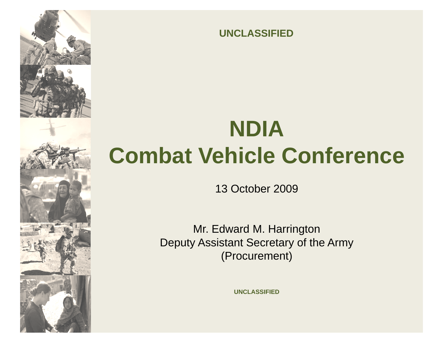

**UNCLASSIFIED**

# **NDIA Combat Vehicle Conference**

13 October 2009

Mr. Edward M. Harrington Deputy Assistant Secretary of the Army (Procurement)

**UNCLASSIFIED**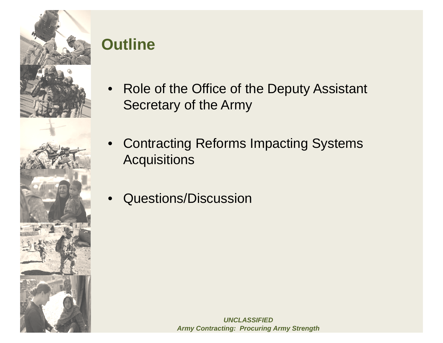

#### **Outline**

- $\bullet$  Role of the Office of the Deputy Assistant Secretary of the Army
- • Contracting Reforms Impacting Systems **Acquisitions**
- •Questions/Discussion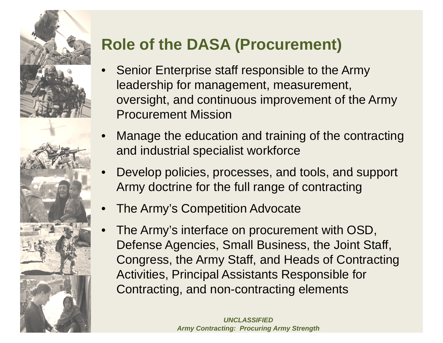

# **Role of the DASA ( ) Procurement**

- •**Senior Enterprise staff responsible to the Army** leadership for management, measurement, oversight, and continuous improvement of the Army Procurement Mission
- • Manage the education and training of the contracting and industrial specialist workforce
- •Develop policies, processes, and tools, and support Army doctrine for the full range of contracting
- •The Army's Competition Advocate
- • The Army's interface on procurement with OSD, Defense Agencies, Small Business, the Joint Staff, Congress, the Army Staff, and Heads of Contracting Activities, Principal Assistants Responsible for Contracting, and non-contracting elements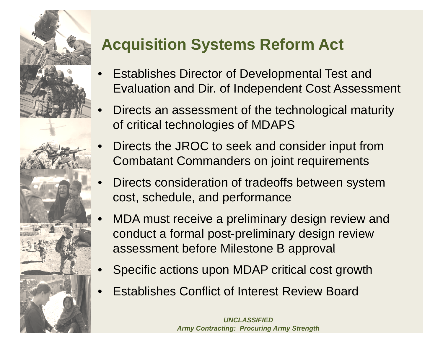

## **Acquisition Systems Reform Act**

- • Establishes Director of Developmental Test and Evaluation and Dir. of Independent Cost Assessment
- • Directs an assessment of the technological maturity of critical technologies of MDAPS
- • Directs the JROC to seek and consider input from Combatant Commanders on joint requirements
- • Directs consideration of tradeoffs between system cost, schedule, and performance
- • MDA must receive a preliminary design review and conduct a formal post-preliminary design review assessment before Milestone B approval
- •Specific actions upon MDAP critical cost growth
- •Establishes Conflict of Interest Review Board

*UNCLASSIFIED Army Contracting: Procuring Army Strength*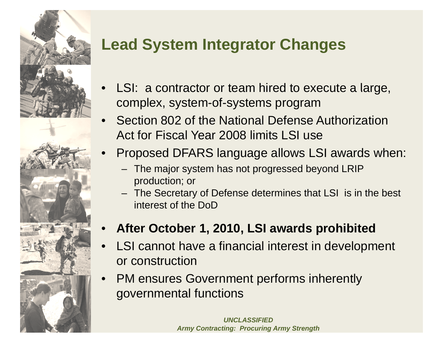

# **Lead System Integrator Changes**

- •LSI: a contractor or team hired to execute a large, complex, system-of-systems program
- • Section 802 of the National Defense Authorization Act for Fiscal Year 2008 limits LSI use
- • Proposed DFARS language allows LSI awards when:
	- – The major system has not progressed beyond LRIP production; or
	- The Secretary of Defense determines that LSI is in the best interest of the DoD
- •**After October 1, 2010, LSI awards prohibited**
- • LSI cannot have a financial interest in development or construction
- • PM ensures Government performs inherently governmental functions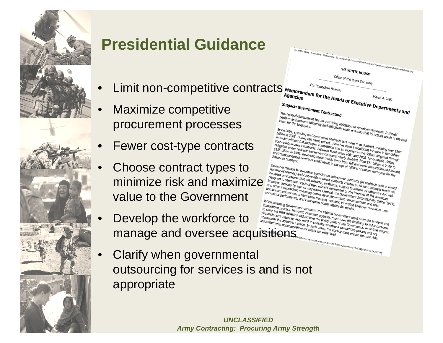

•

•

#### **Presidential Guidance**

- • $\bullet$  Limit non-competitive contracts
- • Maximize competitive procurement processes
- •Fewer cost-type contracts
- • Choose contract types to value to the Government
	- Develop the workforce to
- Clarify when governmental outsourcing for services is and is not appropriate



nent/ (1 of 3) [4/30/2009 2:42:12 PM]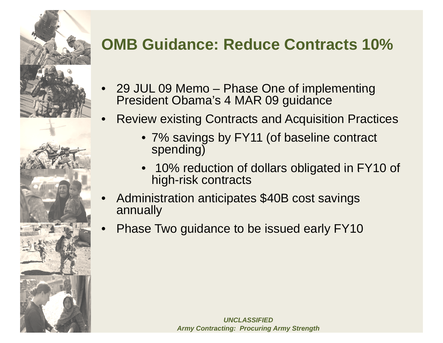

# **OMB Guidance: Reduce Contracts 10%**

- •• 29 JUL 09 Memo – – Phase One of implementing President Obama's 4 MAR 09 guidance
- • Review existing Contracts and Acquisition Practices
	- 7% savings by FY11 (of baseline contract spending)
	- 10% reduction of dollars obligated in FY10 of high-risk contracts
- • Administration anticipates \$40B cost savings annually
- •Phase Two guidance to be issued early FY10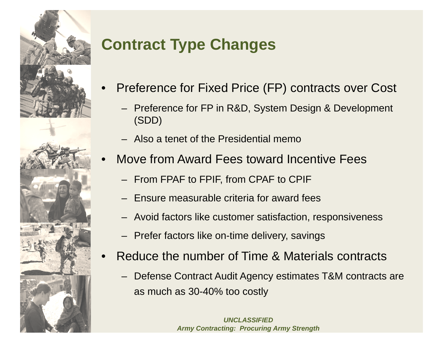

# **Contract Type Changes**

- • Preference for Fixed Price (FP) contracts over Cost Cost
	- Preference for FP in R&D, System Design & Development (SDD)
	- Also a tenet of the Presidential memo
- • Move from Award Fees toward Incentive Fees
	- From FPAF to FPIF, from CPAF to CPIF
	- Ensure measurable criteria for award fees
	- Avoid factors like customer satisfaction, responsiveness
	- Prefer factors like on-time delivery, savings
- •• Reduce the number of Time & Materials contracts
	- Defense Contract Audit Agency estimates T&M contracts are as much as 30-40% too costly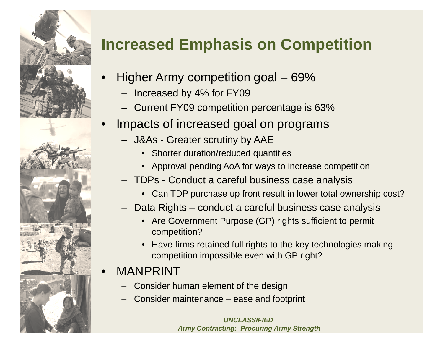

•

# **Increased Emphasis on Competition**

- Higher Army competition goal 69%
	- Increased by 4% for FY09
	- –Current FY09 competition percentage is 63%
- • Impacts of increased goal on programs
	- J&As Greater scrutiny by AAE
		- Shorter duration/reduced quantities
		- Approval pending AoA for ways to increase competition
	- TDPs Conduct a careful business case analysis
		- Can TDP purchase up front result in lower total ownership cost?
	- Data Rights conduct a careful business case analysis
		- Are Government Purpose (GP) rights sufficient to permit competition?
		- Have firms retained full rights to the key technologies making competition impossible even with GP right?

#### •MANPRINT

- Consider human element of the design
- Consider maintenance ease and footprint

*UNCLASSIFIEDArmy Contracting: Procuring Army Strength*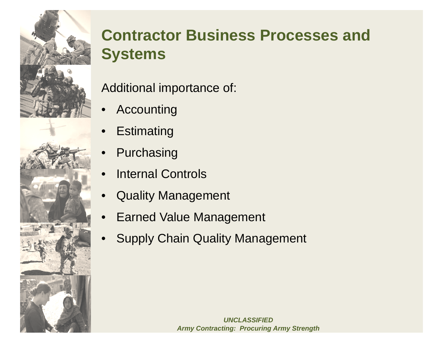

#### **Contractor Business Processes and S t ys tems**

Additional importance of:

- •Accounting
- •**Estimating**
- •Purchasing
- •• Internal Controls
- $\bullet$ Quality Management
- •Earned Value Management
- •Supply Chain Quality Management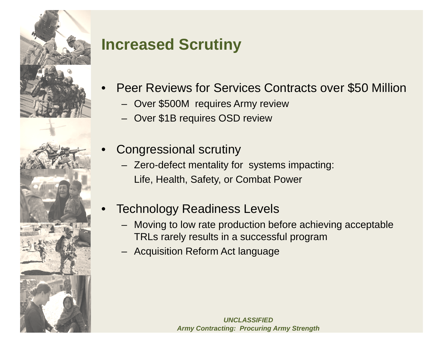

•

#### **Increased Scrutin y**

- • Peer Reviews for Services Contracts over \$50 Million
	- Over \$500M requires Army review
	- Over \$1B requires OSD review
	- Congressional scrutiny
		- Zero-defect mentality for systems impacting: Life, Health, Safety, or Combat Power
- • Technology Readiness Levels Levels
	- Moving to low rate production before achieving acceptable TRLs rarely results in a successful program
	- Acquisition Reform Act language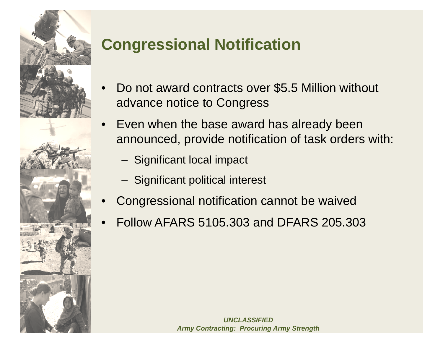

# **Congressional Notification**

- •Do not award contracts over \$5.5 Million without advance notice to Congress
- • Even when the base award has already been announced, provide notification of task orders with:
	- Significant local impact
	- Significant political interest
- •Congressional notification cannot be waived
- •Follow AFARS 5105.303 and DFARS 205.303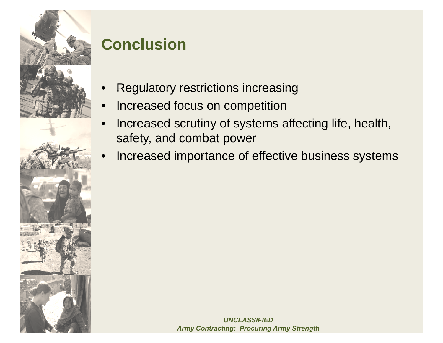

#### **Conclusion**

- •Regulatory restrictions increasing
- •Increased focus on competition
- • Increased scrutiny of systems affecting life, health, safety, and combat power
- •Increased importance of effective business systems